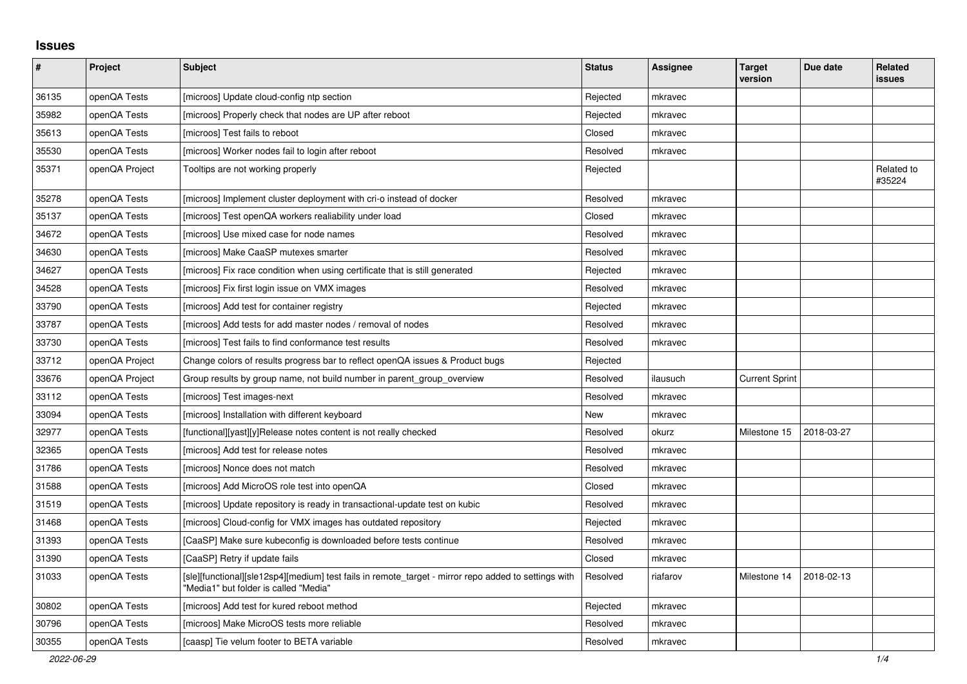## **Issues**

| $\pmb{\#}$ | Project        | <b>Subject</b>                                                                                                                                | <b>Status</b> | <b>Assignee</b> | <b>Target</b><br>version | Due date   | Related<br>issues    |
|------------|----------------|-----------------------------------------------------------------------------------------------------------------------------------------------|---------------|-----------------|--------------------------|------------|----------------------|
| 36135      | openQA Tests   | [microos] Update cloud-config ntp section                                                                                                     | Rejected      | mkravec         |                          |            |                      |
| 35982      | openQA Tests   | [microos] Properly check that nodes are UP after reboot                                                                                       | Rejected      | mkravec         |                          |            |                      |
| 35613      | openQA Tests   | [microos] Test fails to reboot                                                                                                                | Closed        | mkravec         |                          |            |                      |
| 35530      | openQA Tests   | [microos] Worker nodes fail to login after reboot                                                                                             | Resolved      | mkravec         |                          |            |                      |
| 35371      | openQA Project | Tooltips are not working properly                                                                                                             | Rejected      |                 |                          |            | Related to<br>#35224 |
| 35278      | openQA Tests   | [microos] Implement cluster deployment with cri-o instead of docker                                                                           | Resolved      | mkravec         |                          |            |                      |
| 35137      | openQA Tests   | [microos] Test openQA workers realiability under load                                                                                         | Closed        | mkravec         |                          |            |                      |
| 34672      | openQA Tests   | [microos] Use mixed case for node names                                                                                                       | Resolved      | mkravec         |                          |            |                      |
| 34630      | openQA Tests   | [microos] Make CaaSP mutexes smarter                                                                                                          | Resolved      | mkravec         |                          |            |                      |
| 34627      | openQA Tests   | [microos] Fix race condition when using certificate that is still generated                                                                   | Rejected      | mkravec         |                          |            |                      |
| 34528      | openQA Tests   | [microos] Fix first login issue on VMX images                                                                                                 | Resolved      | mkravec         |                          |            |                      |
| 33790      | openQA Tests   | [microos] Add test for container registry                                                                                                     | Rejected      | mkravec         |                          |            |                      |
| 33787      | openQA Tests   | [microos] Add tests for add master nodes / removal of nodes                                                                                   | Resolved      | mkravec         |                          |            |                      |
| 33730      | openQA Tests   | [microos] Test fails to find conformance test results                                                                                         | Resolved      | mkravec         |                          |            |                      |
| 33712      | openQA Project | Change colors of results progress bar to reflect openQA issues & Product bugs                                                                 | Rejected      |                 |                          |            |                      |
| 33676      | openQA Project | Group results by group name, not build number in parent group overview                                                                        | Resolved      | ilausuch        | <b>Current Sprint</b>    |            |                      |
| 33112      | openQA Tests   | [microos] Test images-next                                                                                                                    | Resolved      | mkravec         |                          |            |                      |
| 33094      | openQA Tests   | [microos] Installation with different keyboard                                                                                                | New           | mkravec         |                          |            |                      |
| 32977      | openQA Tests   | [functional][yast][y]Release notes content is not really checked                                                                              | Resolved      | okurz           | Milestone 15             | 2018-03-27 |                      |
| 32365      | openQA Tests   | [microos] Add test for release notes                                                                                                          | Resolved      | mkravec         |                          |            |                      |
| 31786      | openQA Tests   | [microos] Nonce does not match                                                                                                                | Resolved      | mkravec         |                          |            |                      |
| 31588      | openQA Tests   | [microos] Add MicroOS role test into openQA                                                                                                   | Closed        | mkravec         |                          |            |                      |
| 31519      | openQA Tests   | [microos] Update repository is ready in transactional-update test on kubic                                                                    | Resolved      | mkravec         |                          |            |                      |
| 31468      | openQA Tests   | [microos] Cloud-config for VMX images has outdated repository                                                                                 | Rejected      | mkravec         |                          |            |                      |
| 31393      | openQA Tests   | [CaaSP] Make sure kubeconfig is downloaded before tests continue                                                                              | Resolved      | mkravec         |                          |            |                      |
| 31390      | openQA Tests   | [CaaSP] Retry if update fails                                                                                                                 | Closed        | mkravec         |                          |            |                      |
| 31033      | openQA Tests   | [sle][functional][sle12sp4][medium] test fails in remote_target - mirror repo added to settings with<br>"Media1" but folder is called "Media" | Resolved      | riafarov        | Milestone 14             | 2018-02-13 |                      |
| 30802      | openQA Tests   | [microos] Add test for kured reboot method                                                                                                    | Rejected      | mkravec         |                          |            |                      |
| 30796      | openQA Tests   | [microos] Make MicroOS tests more reliable                                                                                                    | Resolved      | mkravec         |                          |            |                      |
| 30355      | openQA Tests   | [caasp] Tie velum footer to BETA variable                                                                                                     | Resolved      | mkravec         |                          |            |                      |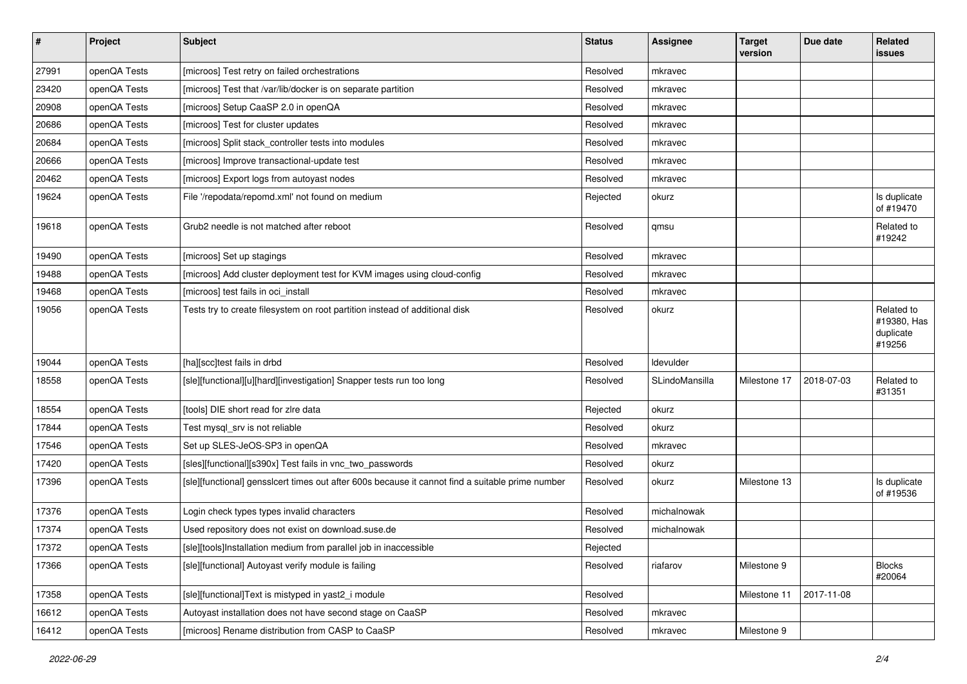| $\pmb{\#}$ | Project      | <b>Subject</b>                                                                                   | <b>Status</b> | <b>Assignee</b> | <b>Target</b><br>version | Due date   | Related<br>issues                                |
|------------|--------------|--------------------------------------------------------------------------------------------------|---------------|-----------------|--------------------------|------------|--------------------------------------------------|
| 27991      | openQA Tests | [microos] Test retry on failed orchestrations                                                    | Resolved      | mkravec         |                          |            |                                                  |
| 23420      | openQA Tests | [microos] Test that /var/lib/docker is on separate partition                                     | Resolved      | mkravec         |                          |            |                                                  |
| 20908      | openQA Tests | [microos] Setup CaaSP 2.0 in openQA                                                              | Resolved      | mkravec         |                          |            |                                                  |
| 20686      | openQA Tests | [microos] Test for cluster updates                                                               | Resolved      | mkravec         |                          |            |                                                  |
| 20684      | openQA Tests | [microos] Split stack_controller tests into modules                                              | Resolved      | mkravec         |                          |            |                                                  |
| 20666      | openQA Tests | [microos] Improve transactional-update test                                                      | Resolved      | mkravec         |                          |            |                                                  |
| 20462      | openQA Tests | [microos] Export logs from autoyast nodes                                                        | Resolved      | mkravec         |                          |            |                                                  |
| 19624      | openQA Tests | File '/repodata/repomd.xml' not found on medium                                                  | Rejected      | okurz           |                          |            | Is duplicate<br>of #19470                        |
| 19618      | openQA Tests | Grub2 needle is not matched after reboot                                                         | Resolved      | qmsu            |                          |            | Related to<br>#19242                             |
| 19490      | openQA Tests | [microos] Set up stagings                                                                        | Resolved      | mkravec         |                          |            |                                                  |
| 19488      | openQA Tests | [microos] Add cluster deployment test for KVM images using cloud-config                          | Resolved      | mkravec         |                          |            |                                                  |
| 19468      | openQA Tests | [microos] test fails in oci_install                                                              | Resolved      | mkravec         |                          |            |                                                  |
| 19056      | openQA Tests | Tests try to create filesystem on root partition instead of additional disk                      | Resolved      | okurz           |                          |            | Related to<br>#19380, Has<br>duplicate<br>#19256 |
| 19044      | openQA Tests | [ha][scc]test fails in drbd                                                                      | Resolved      | Idevulder       |                          |            |                                                  |
| 18558      | openQA Tests | [sle][functional][u][hard][investigation] Snapper tests run too long                             | Resolved      | SLindoMansilla  | Milestone 17             | 2018-07-03 | Related to<br>#31351                             |
| 18554      | openQA Tests | [tools] DIE short read for zire data                                                             | Rejected      | okurz           |                          |            |                                                  |
| 17844      | openQA Tests | Test mysql_srv is not reliable                                                                   | Resolved      | okurz           |                          |            |                                                  |
| 17546      | openQA Tests | Set up SLES-JeOS-SP3 in openQA                                                                   | Resolved      | mkravec         |                          |            |                                                  |
| 17420      | openQA Tests | [sles][functional][s390x] Test fails in vnc_two_passwords                                        | Resolved      | okurz           |                          |            |                                                  |
| 17396      | openQA Tests | [sle][functional] gensslcert times out after 600s because it cannot find a suitable prime number | Resolved      | okurz           | Milestone 13             |            | Is duplicate<br>of #19536                        |
| 17376      | openQA Tests | Login check types types invalid characters                                                       | Resolved      | michalnowak     |                          |            |                                                  |
| 17374      | openQA Tests | Used repository does not exist on download.suse.de                                               | Resolved      | michalnowak     |                          |            |                                                  |
| 17372      | openQA Tests | [sle][tools]Installation medium from parallel job in inaccessible                                | Rejected      |                 |                          |            |                                                  |
| 17366      | openQA Tests | [sle][functional] Autovast verify module is failing                                              | Resolved      | riafarov        | Milestone 9              |            | <b>Blocks</b><br>#20064                          |
| 17358      | openQA Tests | [sle][functional]Text is mistyped in yast2_i module                                              | Resolved      |                 | Milestone 11             | 2017-11-08 |                                                  |
| 16612      | openQA Tests | Autoyast installation does not have second stage on CaaSP                                        | Resolved      | mkravec         |                          |            |                                                  |
| 16412      | openQA Tests | [microos] Rename distribution from CASP to CaaSP                                                 | Resolved      | mkravec         | Milestone 9              |            |                                                  |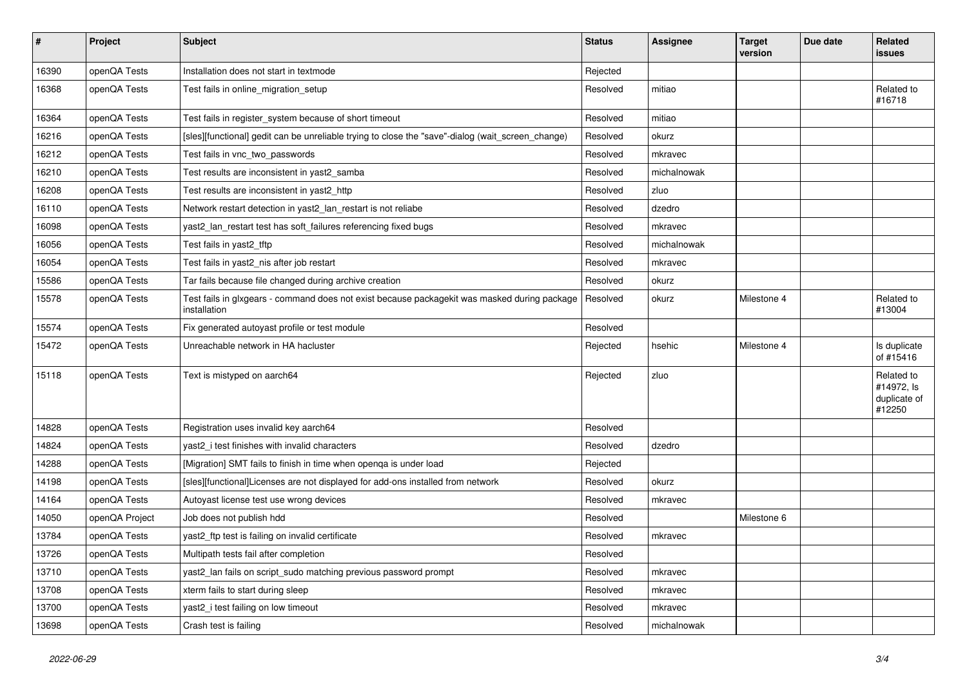| $\pmb{\#}$ | Project        | <b>Subject</b>                                                                                               | <b>Status</b> | <b>Assignee</b> | Target<br>version | Due date | Related<br>issues                                  |
|------------|----------------|--------------------------------------------------------------------------------------------------------------|---------------|-----------------|-------------------|----------|----------------------------------------------------|
| 16390      | openQA Tests   | Installation does not start in textmode                                                                      | Rejected      |                 |                   |          |                                                    |
| 16368      | openQA Tests   | Test fails in online migration setup                                                                         | Resolved      | mitiao          |                   |          | Related to<br>#16718                               |
| 16364      | openQA Tests   | Test fails in register_system because of short timeout                                                       | Resolved      | mitiao          |                   |          |                                                    |
| 16216      | openQA Tests   | [sles][functional] gedit can be unreliable trying to close the "save"-dialog (wait_screen_change)            | Resolved      | okurz           |                   |          |                                                    |
| 16212      | openQA Tests   | Test fails in vnc two passwords                                                                              | Resolved      | mkravec         |                   |          |                                                    |
| 16210      | openQA Tests   | Test results are inconsistent in yast2 samba                                                                 | Resolved      | michalnowak     |                   |          |                                                    |
| 16208      | openQA Tests   | Test results are inconsistent in yast2 http                                                                  | Resolved      | zluo            |                   |          |                                                    |
| 16110      | openQA Tests   | Network restart detection in yast2_lan_restart is not reliabe                                                | Resolved      | dzedro          |                   |          |                                                    |
| 16098      | openQA Tests   | yast2_lan_restart test has soft_failures referencing fixed bugs                                              | Resolved      | mkravec         |                   |          |                                                    |
| 16056      | openQA Tests   | Test fails in yast2_tftp                                                                                     | Resolved      | michalnowak     |                   |          |                                                    |
| 16054      | openQA Tests   | Test fails in yast2_nis after job restart                                                                    | Resolved      | mkravec         |                   |          |                                                    |
| 15586      | openQA Tests   | Tar fails because file changed during archive creation                                                       | Resolved      | okurz           |                   |          |                                                    |
| 15578      | openQA Tests   | Test fails in glxgears - command does not exist because packagekit was masked during package<br>installation | Resolved      | okurz           | Milestone 4       |          | Related to<br>#13004                               |
| 15574      | openQA Tests   | Fix generated autoyast profile or test module                                                                | Resolved      |                 |                   |          |                                                    |
| 15472      | openQA Tests   | Unreachable network in HA hacluster                                                                          | Rejected      | hsehic          | Milestone 4       |          | Is duplicate<br>of #15416                          |
| 15118      | openQA Tests   | Text is mistyped on aarch64                                                                                  | Rejected      | zluo            |                   |          | Related to<br>#14972, Is<br>duplicate of<br>#12250 |
| 14828      | openQA Tests   | Registration uses invalid key aarch64                                                                        | Resolved      |                 |                   |          |                                                    |
| 14824      | openQA Tests   | yast2 i test finishes with invalid characters                                                                | Resolved      | dzedro          |                   |          |                                                    |
| 14288      | openQA Tests   | [Migration] SMT fails to finish in time when openqa is under load                                            | Rejected      |                 |                   |          |                                                    |
| 14198      | openQA Tests   | [sles][functional]Licenses are not displayed for add-ons installed from network                              | Resolved      | okurz           |                   |          |                                                    |
| 14164      | openQA Tests   | Autoyast license test use wrong devices                                                                      | Resolved      | mkravec         |                   |          |                                                    |
| 14050      | openQA Project | Job does not publish hdd                                                                                     | Resolved      |                 | Milestone 6       |          |                                                    |
| 13784      | openQA Tests   | yast2_ftp test is failing on invalid certificate                                                             | Resolved      | mkravec         |                   |          |                                                    |
| 13726      | openQA Tests   | Multipath tests fail after completion                                                                        | Resolved      |                 |                   |          |                                                    |
| 13710      | openQA Tests   | yast2_lan fails on script_sudo matching previous password prompt                                             | Resolved      | mkravec         |                   |          |                                                    |
| 13708      | openQA Tests   | xterm fails to start during sleep                                                                            | Resolved      | mkravec         |                   |          |                                                    |
| 13700      | openQA Tests   | yast2_i test failing on low timeout                                                                          | Resolved      | mkravec         |                   |          |                                                    |
| 13698      | openQA Tests   | Crash test is failing                                                                                        | Resolved      | michalnowak     |                   |          |                                                    |